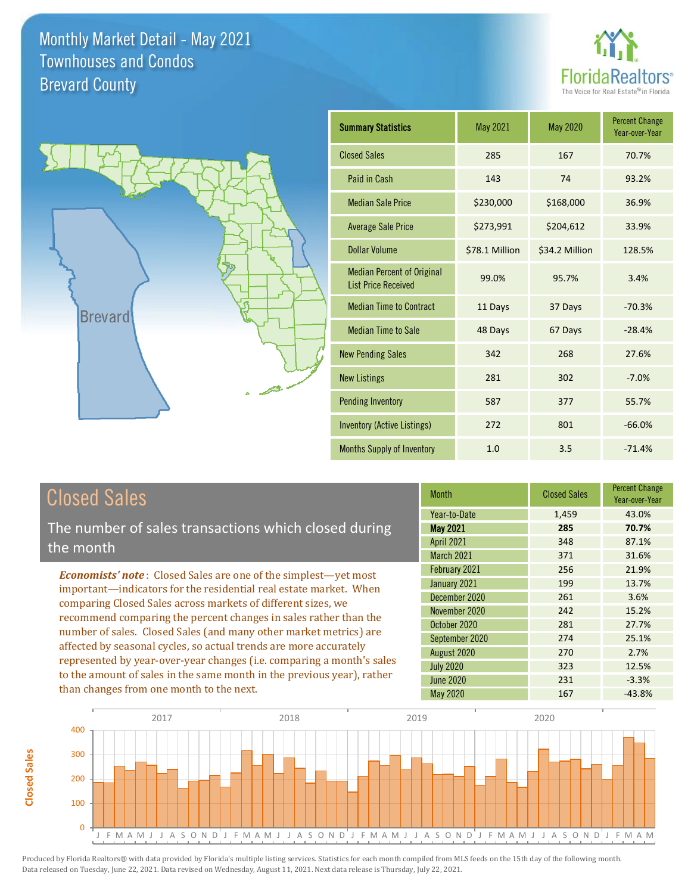



| <b>Summary Statistics</b>                                       | May 2021       | May 2020       | <b>Percent Change</b><br>Year-over-Year |
|-----------------------------------------------------------------|----------------|----------------|-----------------------------------------|
| <b>Closed Sales</b>                                             | 285            | 167            | 70.7%                                   |
| Paid in Cash                                                    | 143            | 74             | 93.2%                                   |
| <b>Median Sale Price</b>                                        | \$230,000      | \$168,000      | 36.9%                                   |
| <b>Average Sale Price</b>                                       | \$273,991      | \$204,612      | 33.9%                                   |
| Dollar Volume                                                   | \$78.1 Million | \$34.2 Million | 128.5%                                  |
| <b>Median Percent of Original</b><br><b>List Price Received</b> | 99.0%          | 95.7%          | 3.4%                                    |
| <b>Median Time to Contract</b>                                  | 11 Days        | 37 Days        | $-70.3%$                                |
| <b>Median Time to Sale</b>                                      | 48 Days        | 67 Days        | $-28.4%$                                |
| <b>New Pending Sales</b>                                        | 342            | 268            | 27.6%                                   |
| <b>New Listings</b>                                             | 281            | 302            | $-7.0%$                                 |
| <b>Pending Inventory</b>                                        | 587            | 377            | 55.7%                                   |
| <b>Inventory (Active Listings)</b>                              | 272            | 801            | $-66.0%$                                |
| <b>Months Supply of Inventory</b>                               | 1.0            | 3.5            | $-71.4%$                                |

# Closed Sales

**Closed Sales**

**Closed Sales** 

The number of sales transactions which closed during the month

*Economists' note* : Closed Sales are one of the simplest—yet most important—indicators for the residential real estate market. When comparing Closed Sales across markets of different sizes, we recommend comparing the percent changes in sales rather than the number of sales. Closed Sales (and many other market metrics) are affected by seasonal cycles, so actual trends are more accurately represented by year-over-year changes (i.e. comparing a month's sales to the amount of sales in the same month in the previous year), rather than changes from one month to the next.

| <b>Month</b>      | <b>Closed Sales</b> | <b>Percent Change</b><br>Year-over-Year |
|-------------------|---------------------|-----------------------------------------|
| Year-to-Date      | 1,459               | 43.0%                                   |
| <b>May 2021</b>   | 285                 | 70.7%                                   |
| <b>April 2021</b> | 348                 | 87.1%                                   |
| March 2021        | 371                 | 31.6%                                   |
| February 2021     | 256                 | 21.9%                                   |
| January 2021      | 199                 | 13.7%                                   |
| December 2020     | 261                 | 3.6%                                    |
| November 2020     | 242                 | 15.2%                                   |
| October 2020      | 281                 | 27.7%                                   |
| September 2020    | 274                 | 25.1%                                   |
| August 2020       | 270                 | 2.7%                                    |
| <b>July 2020</b>  | 323                 | 12.5%                                   |
| <b>June 2020</b>  | 231                 | $-3.3%$                                 |
| May 2020          | 167                 | $-43.8%$                                |

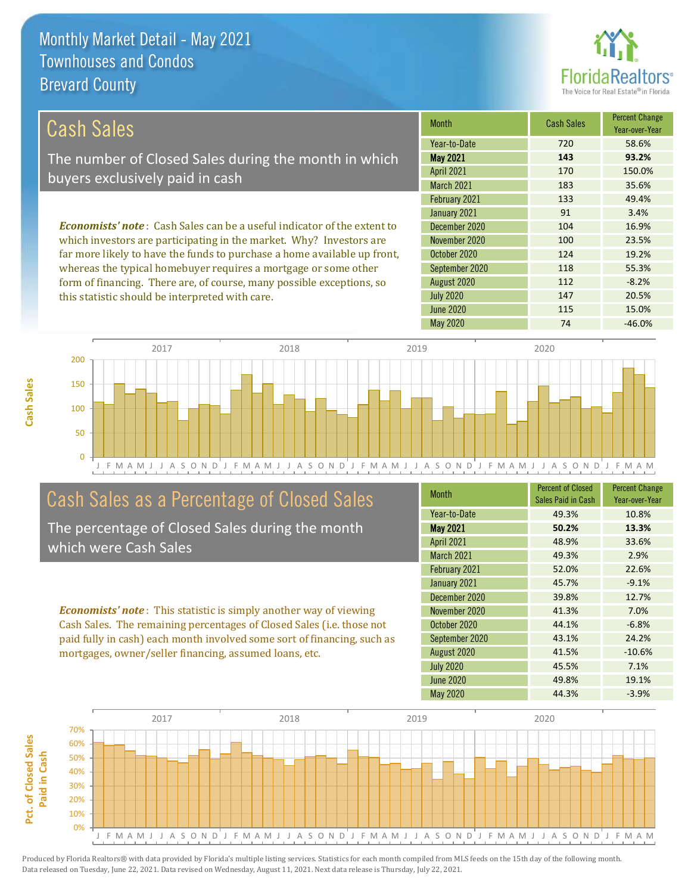

| Cash Sales                                                                      | <b>Month</b>      | <b>Cash Sales</b> | <b>Percent Change</b><br>Year-over-Year |
|---------------------------------------------------------------------------------|-------------------|-------------------|-----------------------------------------|
|                                                                                 | Year-to-Date      | 720               | 58.6%                                   |
| The number of Closed Sales during the month in which                            | <b>May 2021</b>   | 143               | 93.2%                                   |
| buyers exclusively paid in cash                                                 | <b>April 2021</b> | 170               | 150.0%                                  |
|                                                                                 | <b>March 2021</b> | 183               | 35.6%                                   |
|                                                                                 | February 2021     | 133               | 49.4%                                   |
|                                                                                 | January 2021      | 91                | 3.4%                                    |
| <b>Economists' note</b> : Cash Sales can be a useful indicator of the extent to | December 2020     | 104               | 16.9%                                   |
| which investors are participating in the market. Why? Investors are             | November 2020     | 100               | 23.5%                                   |
| far more likely to have the funds to purchase a home available up front,        | October 2020      | 124               | 19.2%                                   |

far more likely to have the funds to purchase a home available up front, whereas the typical homebuyer requires a mortgage or some other form of financing. There are, of course, many possible exceptions, so this statistic should be interpreted with care.

| Year-to-Date      | 720 | 58.6%    |
|-------------------|-----|----------|
| <b>May 2021</b>   | 143 | 93.2%    |
| <b>April 2021</b> | 170 | 150.0%   |
| <b>March 2021</b> | 183 | 35.6%    |
| February 2021     | 133 | 49.4%    |
| January 2021      | 91  | 3.4%     |
| December 2020     | 104 | 16.9%    |
| November 2020     | 100 | 23.5%    |
| October 2020      | 124 | 19.2%    |
| September 2020    | 118 | 55.3%    |
| August 2020       | 112 | $-8.2%$  |
| <b>July 2020</b>  | 147 | 20.5%    |
| <b>June 2020</b>  | 115 | 15.0%    |
| <b>May 2020</b>   | 74  | $-46.0%$ |



# Cash Sales as a Percentage of Closed Sales

The percentage of Closed Sales during the month which were Cash Sales

*Economists' note* : This statistic is simply another way of viewing Cash Sales. The remaining percentages of Closed Sales (i.e. those not paid fully in cash) each month involved some sort of financing, such as mortgages, owner/seller financing, assumed loans, etc.

| <b>Month</b>      | <b>Percent of Closed</b><br>Sales Paid in Cash | <b>Percent Change</b><br>Year-over-Year |
|-------------------|------------------------------------------------|-----------------------------------------|
| Year-to-Date      | 49.3%                                          | 10.8%                                   |
| <b>May 2021</b>   | 50.2%                                          | 13.3%                                   |
| <b>April 2021</b> | 48.9%                                          | 33.6%                                   |
| <b>March 2021</b> | 49.3%                                          | 2.9%                                    |
| February 2021     | 52.0%                                          | 22.6%                                   |
| January 2021      | 45.7%                                          | $-9.1%$                                 |
| December 2020     | 39.8%                                          | 12.7%                                   |
| November 2020     | 41.3%                                          | 7.0%                                    |
| October 2020      | 44.1%                                          | $-6.8%$                                 |
| September 2020    | 43.1%                                          | 24.2%                                   |
| August 2020       | 41.5%                                          | $-10.6%$                                |
| <b>July 2020</b>  | 45.5%                                          | 7.1%                                    |
| <b>June 2020</b>  | 49.8%                                          | 19.1%                                   |
| May 2020          | 44.3%                                          | $-3.9%$                                 |



Pct. of Closed Sales **Pct. of Closed Sales**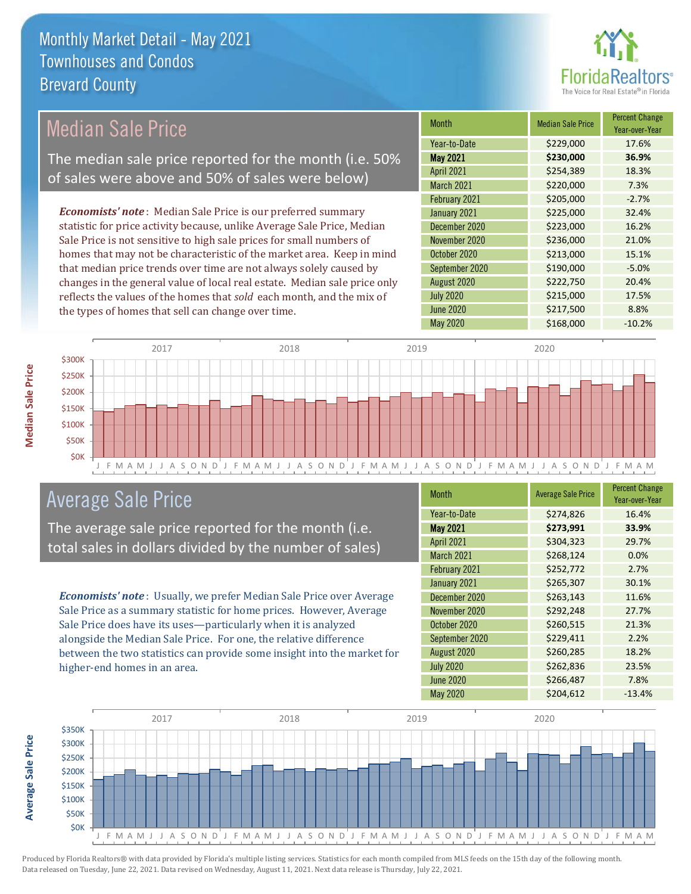

# Median Sale Price

The median sale price reported for the month (i.e. 50% of sales were above and 50% of sales were below)

*Economists' note* : Median Sale Price is our preferred summary statistic for price activity because, unlike Average Sale Price, Median Sale Price is not sensitive to high sale prices for small numbers of homes that may not be characteristic of the market area. Keep in mind that median price trends over time are not always solely caused by changes in the general value of local real estate. Median sale price only reflects the values of the homes that *sold* each month, and the mix of the types of homes that sell can change over time.

| <b>Month</b>      | <b>Median Sale Price</b> | <b>Percent Change</b><br>Year-over-Year |
|-------------------|--------------------------|-----------------------------------------|
| Year-to-Date      | \$229,000                | 17.6%                                   |
| <b>May 2021</b>   | \$230,000                | 36.9%                                   |
| <b>April 2021</b> | \$254,389                | 18.3%                                   |
| March 2021        | \$220,000                | 7.3%                                    |
| February 2021     | \$205,000                | $-2.7%$                                 |
| January 2021      | \$225,000                | 32.4%                                   |
| December 2020     | \$223,000                | 16.2%                                   |
| November 2020     | \$236,000                | 21.0%                                   |
| October 2020      | \$213,000                | 15.1%                                   |
| September 2020    | \$190,000                | $-5.0%$                                 |
| August 2020       | \$222,750                | 20.4%                                   |
| <b>July 2020</b>  | \$215,000                | 17.5%                                   |
| <b>June 2020</b>  | \$217,500                | 8.8%                                    |
| May 2020          | \$168,000                | $-10.2%$                                |



### Average Sale Price

The average sale price reported for the month (i.e. total sales in dollars divided by the number of sales)

*Economists' note* : Usually, we prefer Median Sale Price over Average Sale Price as a summary statistic for home prices. However, Average Sale Price does have its uses—particularly when it is analyzed alongside the Median Sale Price. For one, the relative difference between the two statistics can provide some insight into the market for higher-end homes in an area.

| <b>Month</b>      | <b>Average Sale Price</b> | <b>Percent Change</b><br>Year-over-Year |
|-------------------|---------------------------|-----------------------------------------|
| Year-to-Date      | \$274,826                 | 16.4%                                   |
| <b>May 2021</b>   | \$273,991                 | 33.9%                                   |
| <b>April 2021</b> | \$304,323                 | 29.7%                                   |
| <b>March 2021</b> | \$268,124                 | 0.0%                                    |
| February 2021     | \$252,772                 | 2.7%                                    |
| January 2021      | \$265,307                 | 30.1%                                   |
| December 2020     | \$263,143                 | 11.6%                                   |
| November 2020     | \$292,248                 | 27.7%                                   |
| October 2020      | \$260,515                 | 21.3%                                   |
| September 2020    | \$229,411                 | 2.2%                                    |
| August 2020       | \$260,285                 | 18.2%                                   |
| <b>July 2020</b>  | \$262,836                 | 23.5%                                   |
| <b>June 2020</b>  | \$266,487                 | 7.8%                                    |
| <b>May 2020</b>   | \$204,612                 | $-13.4%$                                |

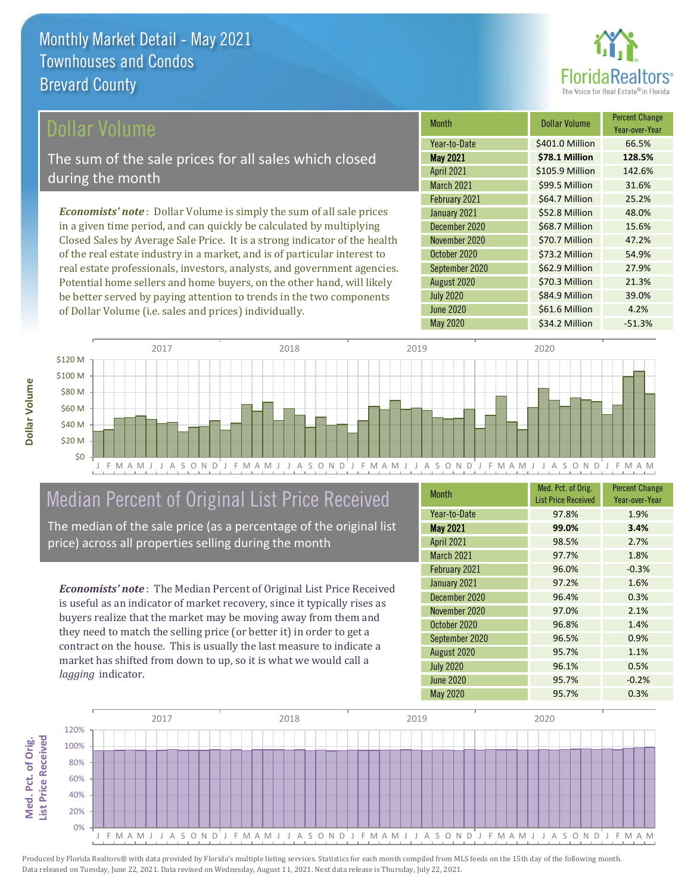

### ollar Volume

The sum of the sale prices for all sales which closed during the month

*Economists' note* : Dollar Volume is simply the sum of all sale prices in a given time period, and can quickly be calculated by multiplying Closed Sales by Average Sale Price. It is a strong indicator of the health of the real estate industry in a market, and is of particular interest to real estate professionals, investors, analysts, and government agencies. Potential home sellers and home buyers, on the other hand, will likely be better served by paying attention to trends in the two components of Dollar Volume (i.e. sales and prices) individually.

| <b>Month</b>      | Dollar Volume   | <b>Percent Change</b><br>Year-over-Year |
|-------------------|-----------------|-----------------------------------------|
| Year-to-Date      | \$401.0 Million | 66.5%                                   |
| May 2021          | \$78.1 Million  | 128.5%                                  |
| <b>April 2021</b> | \$105.9 Million | 142.6%                                  |
| March 2021        | \$99.5 Million  | 31.6%                                   |
| February 2021     | \$64.7 Million  | 25.2%                                   |
| January 2021      | \$52.8 Million  | 48.0%                                   |
| December 2020     | \$68.7 Million  | 15.6%                                   |
| November 2020     | \$70.7 Million  | 47.2%                                   |
| October 2020      | \$73.2 Million  | 54.9%                                   |
| September 2020    | \$62.9 Million  | 27.9%                                   |
| August 2020       | \$70.3 Million  | 21.3%                                   |
| <b>July 2020</b>  | \$84.9 Million  | 39.0%                                   |
| <b>June 2020</b>  | \$61.6 Million  | 4.2%                                    |
| <b>May 2020</b>   | \$34.2 Million  | $-51.3%$                                |



# Median Percent of Original List Price Received

The median of the sale price (as a percentage of the original list price) across all properties selling during the month

*Economists' note* : The Median Percent of Original List Price Received is useful as an indicator of market recovery, since it typically rises as buyers realize that the market may be moving away from them and they need to match the selling price (or better it) in order to get a contract on the house. This is usually the last measure to indicate a market has shifted from down to up, so it is what we would call a *lagging* indicator.

| <b>Month</b>      | Med. Pct. of Orig.<br><b>List Price Received</b> | <b>Percent Change</b><br>Year-over-Year |
|-------------------|--------------------------------------------------|-----------------------------------------|
| Year-to-Date      | 97.8%                                            | 1.9%                                    |
| <b>May 2021</b>   | 99.0%                                            | 3.4%                                    |
| <b>April 2021</b> | 98.5%                                            | 2.7%                                    |
| March 2021        | 97.7%                                            | 1.8%                                    |
| February 2021     | 96.0%                                            | $-0.3%$                                 |
| January 2021      | 97.2%                                            | 1.6%                                    |
| December 2020     | 96.4%                                            | 0.3%                                    |
| November 2020     | 97.0%                                            | 2.1%                                    |
| October 2020      | 96.8%                                            | 1.4%                                    |
| September 2020    | 96.5%                                            | 0.9%                                    |
| August 2020       | 95.7%                                            | 1.1%                                    |
| <b>July 2020</b>  | 96.1%                                            | 0.5%                                    |
| <b>June 2020</b>  | 95.7%                                            | $-0.2%$                                 |
| <b>May 2020</b>   | 95.7%                                            | 0.3%                                    |

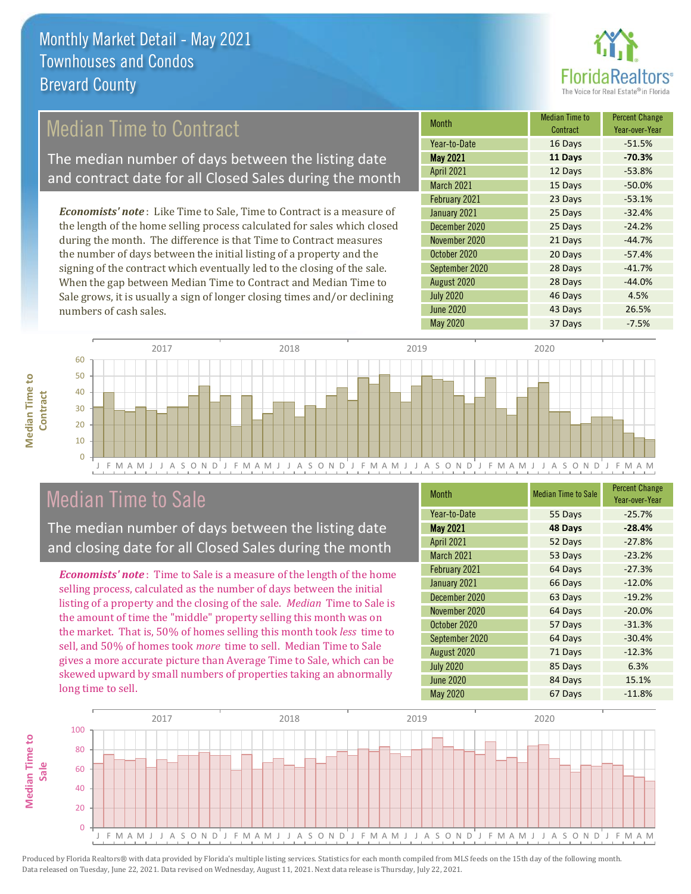

# Median Time to Contract

The median number of days between the listing date and contract date for all Closed Sales during the month

*Economists' note* : Like Time to Sale, Time to Contract is a measure of the length of the home selling process calculated for sales which closed during the month. The difference is that Time to Contract measures the number of days between the initial listing of a property and the signing of the contract which eventually led to the closing of the sale. When the gap between Median Time to Contract and Median Time to Sale grows, it is usually a sign of longer closing times and/or declining numbers of cash sales.

| Month             | Median Time to<br>Contract | <b>Percent Change</b><br>Year-over-Year |
|-------------------|----------------------------|-----------------------------------------|
| Year-to-Date      | 16 Days                    | $-51.5%$                                |
| <b>May 2021</b>   | 11 Days                    | $-70.3%$                                |
| <b>April 2021</b> | 12 Days                    | $-53.8%$                                |
| March 2021        | 15 Days                    | $-50.0%$                                |
| February 2021     | 23 Days                    | $-53.1%$                                |
| January 2021      | 25 Days                    | $-32.4%$                                |
| December 2020     | 25 Days                    | $-24.2%$                                |
| November 2020     | 21 Days                    | $-44.7%$                                |
| October 2020      | 20 Days                    | $-57.4%$                                |
| September 2020    | 28 Days                    | $-41.7%$                                |
| August 2020       | 28 Days                    | $-44.0%$                                |
| <b>July 2020</b>  | 46 Days                    | 4.5%                                    |
| <b>June 2020</b>  | 43 Days                    | 26.5%                                   |
| <b>May 2020</b>   | 37 Days                    | $-7.5%$                                 |



## Median Time to Sale

**Median Time to** 

**Median Time to** 

The median number of days between the listing date and closing date for all Closed Sales during the month

*Economists' note* : Time to Sale is a measure of the length of the home selling process, calculated as the number of days between the initial listing of a property and the closing of the sale. *Median* Time to Sale is the amount of time the "middle" property selling this month was on the market. That is, 50% of homes selling this month took *less* time to sell, and 50% of homes took *more* time to sell. Median Time to Sale gives a more accurate picture than Average Time to Sale, which can be skewed upward by small numbers of properties taking an abnormally long time to sell.

| <b>Month</b>      | <b>Median Time to Sale</b> | <b>Percent Change</b><br>Year-over-Year |
|-------------------|----------------------------|-----------------------------------------|
| Year-to-Date      | 55 Days                    | $-25.7%$                                |
| <b>May 2021</b>   | 48 Days                    | $-28.4%$                                |
| <b>April 2021</b> | 52 Days                    | $-27.8%$                                |
| <b>March 2021</b> | 53 Days                    | $-23.2%$                                |
| February 2021     | 64 Days                    | $-27.3%$                                |
| January 2021      | 66 Days                    | $-12.0%$                                |
| December 2020     | 63 Days                    | $-19.2%$                                |
| November 2020     | 64 Days                    | $-20.0%$                                |
| October 2020      | 57 Days                    | $-31.3%$                                |
| September 2020    | 64 Days                    | $-30.4%$                                |
| August 2020       | 71 Days                    | $-12.3%$                                |
| <b>July 2020</b>  | 85 Days                    | 6.3%                                    |
| <b>June 2020</b>  | 84 Days                    | 15.1%                                   |
| <b>May 2020</b>   | 67 Days                    | $-11.8%$                                |

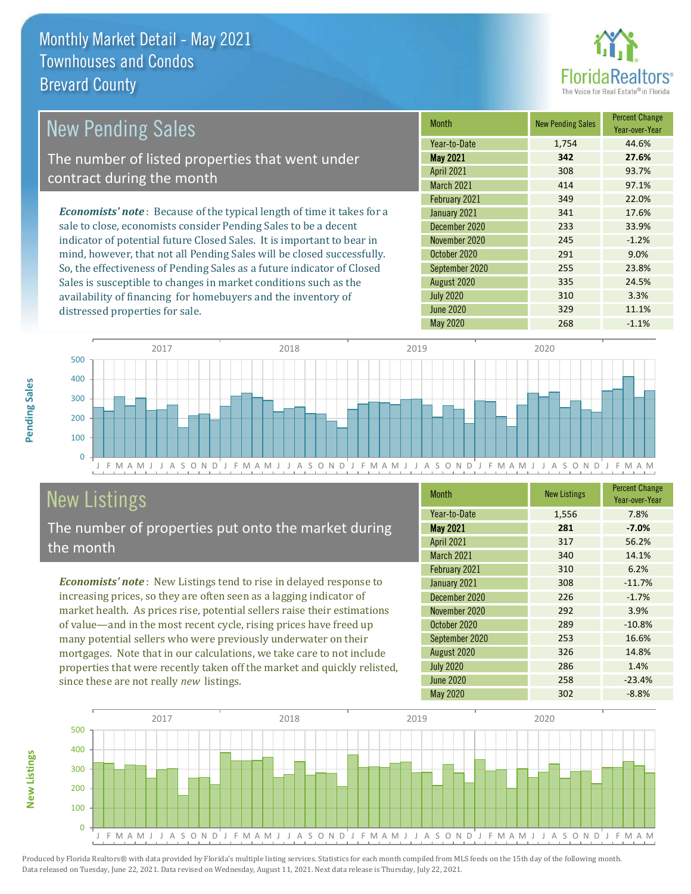distressed properties for sale.



| <b>New Pending Sales</b>                                                       | <b>Month</b>      | <b>New Pending Sales</b> | <b>Percent Change</b><br>Year-over-Year |
|--------------------------------------------------------------------------------|-------------------|--------------------------|-----------------------------------------|
|                                                                                | Year-to-Date      | 1.754                    | 44.6%                                   |
| The number of listed properties that went under                                | <b>May 2021</b>   | 342                      | 27.6%                                   |
| contract during the month                                                      | <b>April 2021</b> | 308                      | 93.7%                                   |
|                                                                                | <b>March 2021</b> | 414                      | 97.1%                                   |
|                                                                                | February 2021     | 349                      | 22.0%                                   |
| <b>Economists' note</b> : Because of the typical length of time it takes for a | January 2021      | 341                      | 17.6%                                   |
| sale to close, economists consider Pending Sales to be a decent                | December 2020     | 233                      | 33.9%                                   |
| indicator of potential future Closed Sales. It is important to bear in         | November 2020     | 245                      | $-1.2%$                                 |
| mind, however, that not all Pending Sales will be closed successfully.         | October 2020      | 291                      | 9.0%                                    |
| So, the effectiveness of Pending Sales as a future indicator of Closed         | September 2020    | 255                      | 23.8%                                   |
| Sales is susceptible to changes in market conditions such as the               | August 2020       | 335                      | 24.5%                                   |

J F M A M J J A S O N D J F M A M J J A S O N D J F M A M J J A S O N D J F M A M J J A S O N D J F M A M  $\overline{0}$ 100 200 300 400 500 2017 2018 2019 2020

# New Listings

The number of properties put onto the market during the month

availability of financing for homebuyers and the inventory of

*Economists' note* : New Listings tend to rise in delayed response to increasing prices, so they are often seen as a lagging indicator of market health. As prices rise, potential sellers raise their estimations of value—and in the most recent cycle, rising prices have freed up many potential sellers who were previously underwater on their mortgages. Note that in our calculations, we take care to not include properties that were recently taken off the market and quickly relisted, since these are not really *new* listings.

| <b>Month</b>      | <b>New Listings</b> | <b>Percent Change</b><br>Year-over-Year |
|-------------------|---------------------|-----------------------------------------|
| Year-to-Date      | 1,556               | 7.8%                                    |
| <b>May 2021</b>   | 281                 | $-7.0%$                                 |
| <b>April 2021</b> | 317                 | 56.2%                                   |
| <b>March 2021</b> | 340                 | 14.1%                                   |
| February 2021     | 310                 | 6.2%                                    |
| January 2021      | 308                 | $-11.7%$                                |
| December 2020     | 226                 | $-1.7%$                                 |
| November 2020     | 292                 | 3.9%                                    |
| October 2020      | 289                 | $-10.8%$                                |
| September 2020    | 253                 | 16.6%                                   |
| August 2020       | 326                 | 14.8%                                   |
| <b>July 2020</b>  | 286                 | 1.4%                                    |
| <b>June 2020</b>  | 258                 | $-23.4%$                                |
| May 2020          | 302                 | $-8.8%$                                 |

July 2020 310 310 3.3% June 2020 329 329 11.1% May 2020 268 -1.1%



**New Listings**

**Pending Sales**

Pending Sales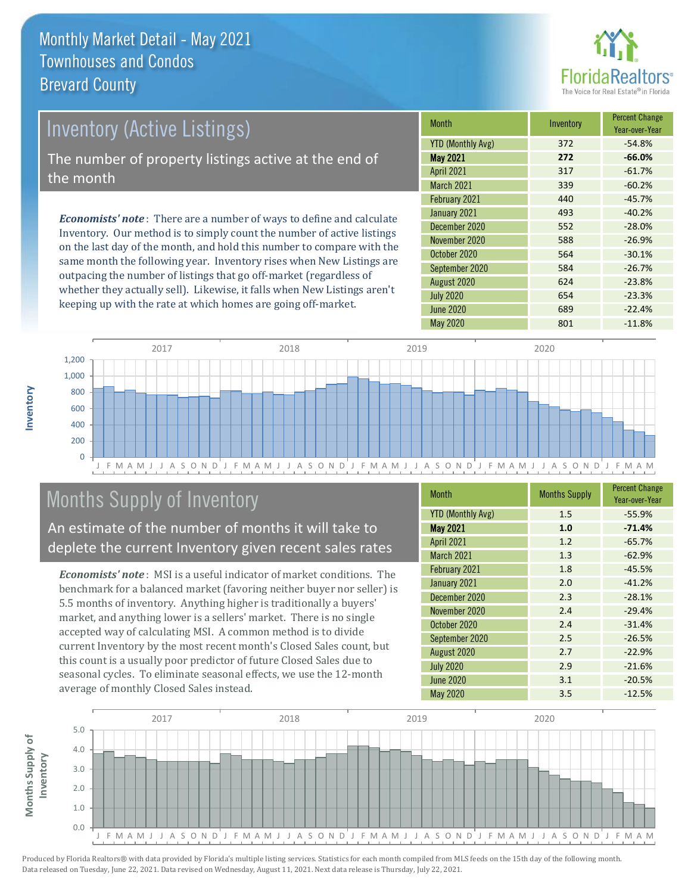

# Inventory (Active Listings) The number of property listings active at the end of the month

*Economists' note* : There are a number of ways to define and calculate Inventory. Our method is to simply count the number of active listings on the last day of the month, and hold this number to compare with the same month the following year. Inventory rises when New Listings are outpacing the number of listings that go off-market (regardless of whether they actually sell). Likewise, it falls when New Listings aren't keeping up with the rate at which homes are going off-market.

| <b>Month</b>             | Inventory | <b>Percent Change</b><br>Year-over-Year |
|--------------------------|-----------|-----------------------------------------|
| <b>YTD (Monthly Avg)</b> | 372       | $-54.8%$                                |
| <b>May 2021</b>          | 272       | $-66.0%$                                |
| <b>April 2021</b>        | 317       | $-61.7%$                                |
| <b>March 2021</b>        | 339       | $-60.2%$                                |
| February 2021            | 440       | $-45.7%$                                |
| January 2021             | 493       | $-40.2%$                                |
| December 2020            | 552       | $-28.0%$                                |
| November 2020            | 588       | $-26.9%$                                |
| October 2020             | 564       | $-30.1%$                                |
| September 2020           | 584       | $-26.7%$                                |
| August 2020              | 624       | $-23.8%$                                |
| <b>July 2020</b>         | 654       | $-23.3%$                                |
| <b>June 2020</b>         | 689       | $-22.4%$                                |
| <b>May 2020</b>          | 801       | $-11.8%$                                |



# Months Supply of Inventory

An estimate of the number of months it will take to deplete the current Inventory given recent sales rates

*Economists' note* : MSI is a useful indicator of market conditions. The benchmark for a balanced market (favoring neither buyer nor seller) is 5.5 months of inventory. Anything higher is traditionally a buyers' market, and anything lower is a sellers' market. There is no single accepted way of calculating MSI. A common method is to divide current Inventory by the most recent month's Closed Sales count, but this count is a usually poor predictor of future Closed Sales due to seasonal cycles. To eliminate seasonal effects, we use the 12-month average of monthly Closed Sales instead.

| <b>Month</b>             | <b>Months Supply</b> | <b>Percent Change</b><br>Year-over-Year |
|--------------------------|----------------------|-----------------------------------------|
| <b>YTD (Monthly Avg)</b> | 1.5                  | $-55.9%$                                |
| <b>May 2021</b>          | 1.0                  | $-71.4%$                                |
| <b>April 2021</b>        | 1.2                  | $-65.7%$                                |
| <b>March 2021</b>        | 1.3                  | $-62.9%$                                |
| February 2021            | 1.8                  | $-45.5%$                                |
| January 2021             | 2.0                  | $-41.2%$                                |
| December 2020            | 2.3                  | $-28.1%$                                |
| November 2020            | 2.4                  | $-29.4%$                                |
| October 2020             | 2.4                  | $-31.4%$                                |
| September 2020           | 2.5                  | $-26.5%$                                |
| August 2020              | 2.7                  | $-22.9%$                                |
| <b>July 2020</b>         | 2.9                  | $-21.6%$                                |
| <b>June 2020</b>         | 3.1                  | $-20.5%$                                |
| May 2020                 | 3.5                  | $-12.5%$                                |

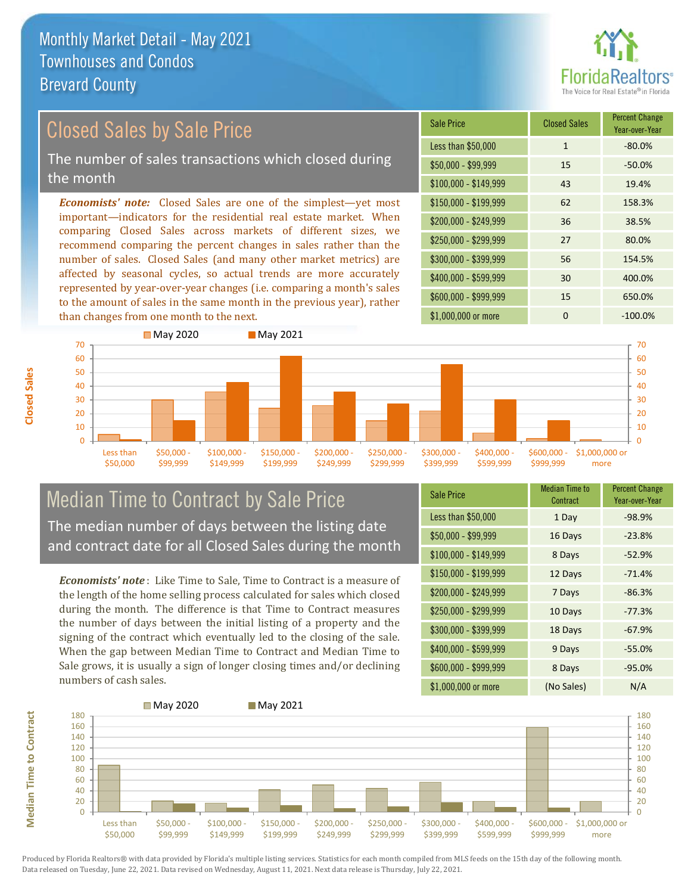

Year-over-Year

#### *Economists' note:* Closed Sales are one of the simplest—yet most important—indicators for the residential real estate market. When comparing Closed Sales across markets of different sizes, we recommend comparing the percent changes in sales rather than the number of sales. Closed Sales (and many other market metrics) are Sale Price Closed Sales Percent Change Closed Sales by Sale Price The number of sales transactions which closed during the month

affected by seasonal cycles, so actual trends are more accurately represented by year-over-year changes (i.e. comparing a month's sales to the amount of sales in the same month in the previous year), rather than changes from one month to the next.





### Median Time to Contract by Sale Price The median number of days between the listing date and contract date for all Closed Sales during the month

*Economists' note* : Like Time to Sale, Time to Contract is a measure of the length of the home selling process calculated for sales which closed during the month. The difference is that Time to Contract measures the number of days between the initial listing of a property and the signing of the contract which eventually led to the closing of the sale. When the gap between Median Time to Contract and Median Time to Sale grows, it is usually a sign of longer closing times and/or declining numbers of cash sales.

| <b>Sale Price</b>     | Median Time to<br>Contract | <b>Percent Change</b><br>Year-over-Year |
|-----------------------|----------------------------|-----------------------------------------|
| Less than \$50,000    | 1 Day                      | $-98.9%$                                |
| $$50,000 - $99,999$   | 16 Days                    | $-23.8%$                                |
| $$100,000 - $149,999$ | 8 Days                     | $-52.9%$                                |
| $$150,000 - $199,999$ | 12 Days                    | $-71.4%$                                |
| \$200,000 - \$249,999 | 7 Days                     | $-86.3%$                                |
| \$250,000 - \$299,999 | 10 Days                    | $-77.3%$                                |
| \$300,000 - \$399,999 | 18 Days                    | $-67.9%$                                |
| $$400,000 - $599,999$ | 9 Days                     | $-55.0%$                                |
| \$600,000 - \$999,999 | 8 Days                     | $-95.0%$                                |
| \$1,000,000 or more   | (No Sales)                 | N/A                                     |



Produced by Florida Realtors® with data provided by Florida's multiple listing services. Statistics for each month compiled from MLS feeds on the 15th day of the following month. Data released on Tuesday, June 22, 2021. Data revised on Wednesday, August 11, 2021. Next data release is Thursday, July 22, 2021.

**Median Time to Contract**

**Median Time to Contract**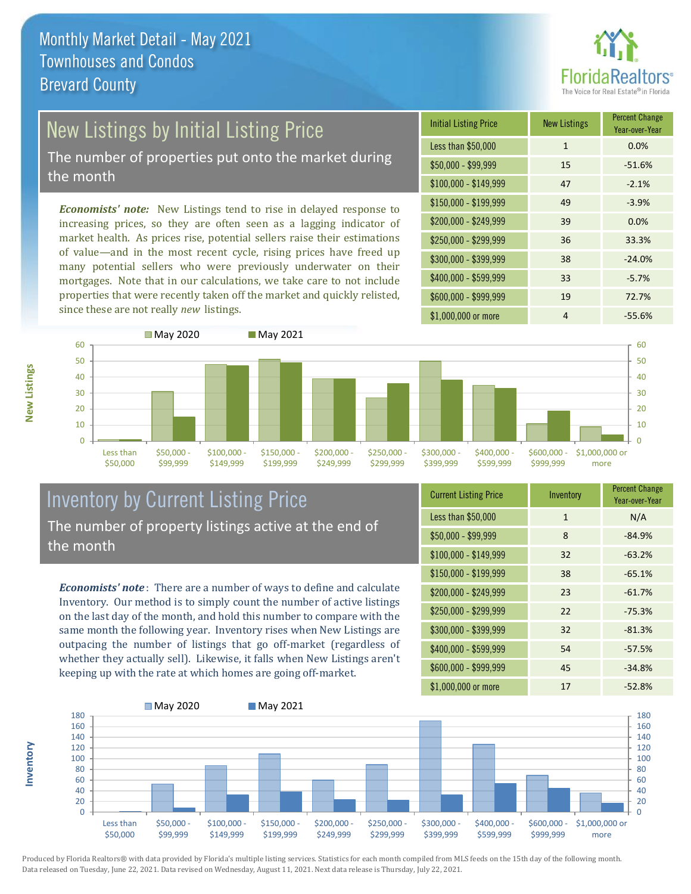

# New Listings by Initial Listing Price

The number of properties put onto the market during the month

*Economists' note:* New Listings tend to rise in delayed response to increasing prices, so they are often seen as a lagging indicator of market health. As prices rise, potential sellers raise their estimations of value—and in the most recent cycle, rising prices have freed up many potential sellers who were previously underwater on their mortgages. Note that in our calculations, we take care to not include properties that were recently taken off the market and quickly relisted, since these are not really *new* listings.





#### Inventory by Current Listing Price The number of property listings active at the end of the month

*Economists' note* : There are a number of ways to define and calculate Inventory. Our method is to simply count the number of active listings on the last day of the month, and hold this number to compare with the same month the following year. Inventory rises when New Listings are outpacing the number of listings that go off-market (regardless of whether they actually sell). Likewise, it falls when New Listings aren't keeping up with the rate at which homes are going off-market.

| <b>Current Listing Price</b> | Inventory    | <b>Percent Change</b><br>Year-over-Year |
|------------------------------|--------------|-----------------------------------------|
| Less than \$50,000           | $\mathbf{1}$ | N/A                                     |
| \$50,000 - \$99,999          | 8            | $-84.9%$                                |
| $$100,000 - $149,999$        | 32           | $-63.2%$                                |
| $$150,000 - $199,999$        | 38           | $-65.1%$                                |
| \$200,000 - \$249,999        | 23           | $-61.7%$                                |
| \$250,000 - \$299,999        | 22           | $-75.3%$                                |
| \$300,000 - \$399,999        | 32           | $-81.3%$                                |
| \$400,000 - \$599,999        | 54           | $-57.5%$                                |
| \$600,000 - \$999,999        | 45           | $-34.8%$                                |
| \$1,000,000 or more          | 17           | $-52.8%$                                |



Produced by Florida Realtors® with data provided by Florida's multiple listing services. Statistics for each month compiled from MLS feeds on the 15th day of the following month. Data released on Tuesday, June 22, 2021. Data revised on Wednesday, August 11, 2021. Next data release is Thursday, July 22, 2021.

**Inventory**